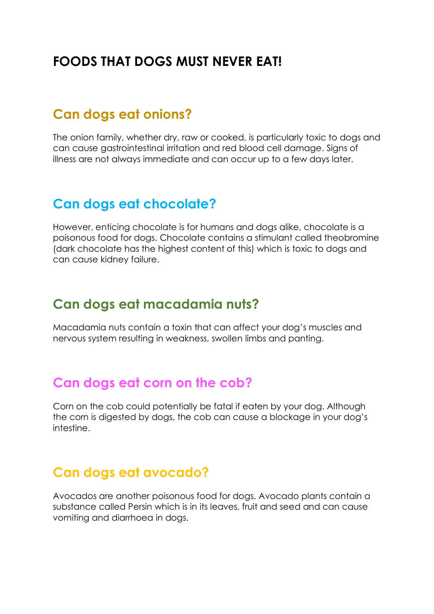# **FOODS THAT DOGS MUST NEVER EAT!**

#### **Can dogs eat onions?**

The onion family, whether dry, raw or cooked, is particularly toxic to dogs and can cause gastrointestinal irritation and red blood cell damage. Signs of illness are not always immediate and can occur up to a few days later.

### **Can dogs eat chocolate?**

However, enticing chocolate is for humans and dogs alike, chocolate is a poisonous food for dogs. Chocolate contains a stimulant called theobromine (dark chocolate has the highest content of this) which is toxic to dogs and can cause kidney failure.

### **Can dogs eat macadamia nuts?**

Macadamia nuts contain a toxin that can affect your dog's muscles and nervous system resulting in weakness, swollen limbs and panting.

#### **Can dogs eat corn on the cob?**

Corn on the cob could potentially be fatal if eaten by your dog. Although the corn is digested by dogs, the cob can cause a blockage in your dog's intestine.

### **Can dogs eat avocado?**

Avocados are another poisonous food for dogs. Avocado plants contain a substance called Persin which is in its leaves, fruit and seed and can cause vomiting and diarrhoea in dogs.